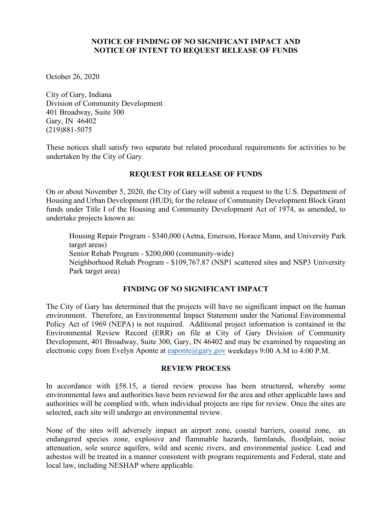## **NOTICE OF FINDING OF NO SIGNIFICANT IMPACT AND NOTICE OF INTENT TO REQUEST RELEASE OF FUNDS**

October 26, 2020

City of Gary, Indiana Division of Community Development 401 Broadway, Suite 300 Gary, IN 46402 (219)881-5075

These notices shall satisfy two separate but related procedural requirements for activities to be undertaken by the City of Gary*.*

# **REQUEST FOR RELEASE OF FUNDS**

On or about November 5, 2020, the City of Gary will submit a request to the U.S. Department of Housing and Urban Development (HUD), for the release of Community Development Block Grant funds under Title I of the Housing and Community Development Act of 1974, as amended, to undertake projects known as:

Housing Repair Program - \$340,000 (Aetna, Emerson, Horace Mann, and University Park target areas) Senior Rehab Program - \$200,000 (community-wide) Neighborhood Rehab Program - \$109,767.87 (NSP1 scattered sites and NSP3 University Park target area)

# **FINDING OF NO SIGNIFICANT IMPACT**

The City of Gary has determined that the projects will have no significant impact on the human environment. Therefore, an Environmental Impact Statement under the National Environmental Policy Act of 1969 (NEPA) is not required. Additional project information is contained in the Environmental Review Record (ERR) on file at City of Gary Division of Community Development, 401 Broadway, Suite 300, Gary, IN 46402 and may be examined by requesting an electronic copy from Evelyn Aponte at [eaponte@gary.gov](mailto:eaponte@gary.gov) weekdays  $9:00$  A.M to  $4:00$  P.M.

## **REVIEW PROCESS**

In accordance with §58.15, a tiered review process has been structured, whereby some environmental laws and authorities have been reviewed for the area and other applicable laws and authorities will be complied with, when individual projects are ripe for review. Once the sites are selected, each site will undergo an environmental review.

None of the sites will adversely impact an airport zone, coastal barriers, coastal zone, an endangered species zone, explosive and flammable hazards, farmlands, floodplain, noise attenuation, sole source aquifers, wild and scenic rivers, and environmental justice. Lead and asbestos will be treated in a manner consistent with program requirements and Federal, state and local law, including NESHAP where applicable.